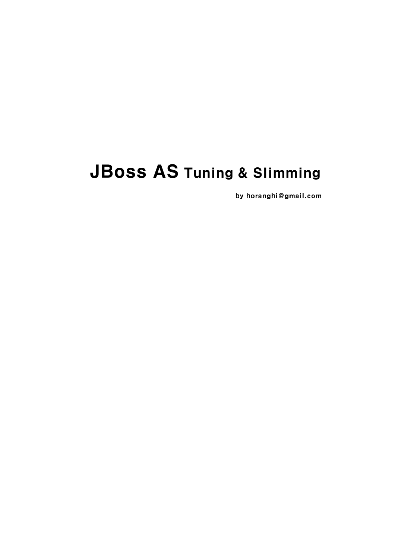# JBoss AS Tuning & Slimming

by horanghi@gmail.com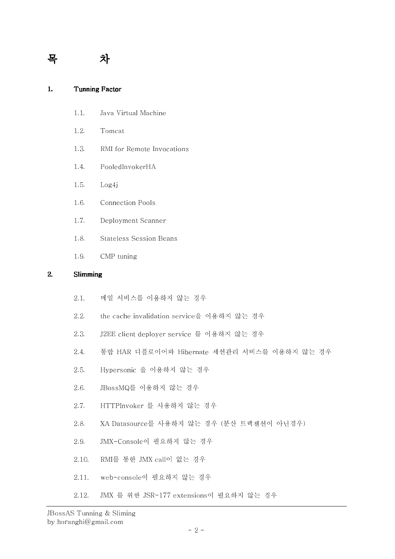## 목 차 차

| Tunning Factor |  |
|----------------|--|
|                |  |

| 1.1. |  | Java Virtual Machine |
|------|--|----------------------|
|      |  |                      |

- 1.2. Tomcat
- 1.3. RMI for Remote Invocations
- 1.4. PooledInvokerHA
- 1.5. Log4j
- 1.6. Connection Pools
- 1.7. Deployment Scanner
- 1.8. Stateless Session Beans
- 1.9. CMP tuning

## 2. Slimming

- 2.1. 메일 서비스를 이용하지 않는 경우
- 2.2. the cache invalidation service을 이용하지 않는 경우
- 2.3. J2EE client deployer service 를 이용하지 않는 경우
- 2.4. 통합 HAR 디플로이어와 Hibernate 세션관리 서비스를 이용하지 않는 경우
- 2.5. Hypersonic 을 이용하지 않는 경우
- 2.6. JBossMQ를 이용하지 않는 경우
- 2.7. HTTPInvoker 를 사용하지 않는 경우
- 2.8. XA Datasource를 사용하지 않는 경우 (분산 트랙젠션이 아닌경우)
- 2.9. JMX-Console이 필요하지 않는 경우
- 2.10. RMI를 통한 JMX call이 없는 경우
- 2.11. web-console이 필요하지 않는 경우
- 2.12. JMX 를 위한 JSR-177 extensions이 필요하지 않는 경우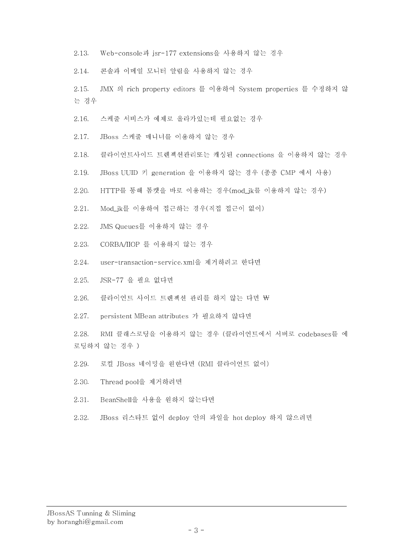2.13. Web-console과 jsr-177 extensions을 사용하지 않는 경우

2.14. 콘솔과 이메일 모니터 알림을 사용하지 않는 경우

2.15. JMX 의 rich property editors 를 이용하여 System properties 를 수정하지 않 는 경우

- 2.16. 스케줄 서비스가 예제로 올라가있는데 필요없는 경우
- 2.17. JBoss 스케줄 매니너를 이용하지 않는 경우
- 2.18. 클라이언트사이드 트렌젝션관리또는 캐싱된 connections 을 이용하지 않는 경우
- 2.19. JBoss UUID 키 generation 을 이용하지 않는 경우 (종종 CMP 에서 사용)
- 2.20. HTTP를 통해 톰캣을 바로 이용하는 경우(mod ik를 이용하지 않는 경우)
- 2.21. Mod\_jk를 이용하여 접근하는 경우(직접 접근이 없이)
- 2.22. JMS Queues를 이용하지 않는 경우
- 2.23. CORBA/IIOP 를 이용하지 않는 경우
- 2.24. user-transaction-service.xml을 제거하려고 한다면
- 2.25. JSR-77 을 필요 없다면
- 2.26. 클라이언트 사이드 트렌젝션 관리를 하지 않는 다면 \
- 2.27. persistent MBean attributes 가 필요하지 않다면

2.28. RMI 클래스로딩을 이용하지 않는 경우 (클라이언트에서 서버로 codebases를 에 로딩하지 않는 경우 )

- 2.29. 로컬 JBoss 네이밍을 원한다면 (RMI 클라이언트 없이)
- 2.30. Thread pool을 제거하려면
- 2.31. BeanShell을 사용을 원하지 않는다면
- 2.32. JBoss 리스타트 없이 deploy 안의 파일을 hot deploy 하지 않으려면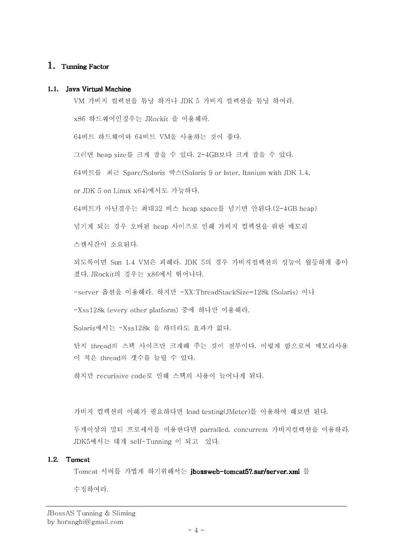## 1. Tunning Factor

#### 1.1. Java Virtual Machine

VM 가비지 컬렉션을 튜닝 하거나 JDK 5 가비지 컬렉션을 튜닝 하여라.

x86 하드웨어인경우는 JRockit 을 이용해라.

64비트 하드웨어와 64비트 VM을 사용하는 것이 좋다.

그러면 heap size를 크게 잡을 수 있다. 2-4GB보다 크게 잡을 수 있다.

64비트를 최근 Sparc/Solaris 박스(Solaris 9 or later, Itanium with JDK 1.4,

or JDK 5 on Linux x64)에서도 가능하다.

64비트가 아닌경우는 최대32 비스 heap space를 넘기면 안된다.(2-4GB heap)

넘기게 되는 경우 오바된 heap 사이즈로 인해 가비지 컬렉션을 위한 메모리

스캔시간이 소요된다.

되도록이면 Sun 1.4 VM은 피해라. JDK 5의 경우 가비지컬렉션의 성능이 월등하게 좋아 졌다. JRockit의 경우는 x86에서 뛰어나다.

-server 옵션을 이용해라. 하지만 -XX:ThreadStackSize=128k (Solaris) 이나

-Xss128k (every other platform) 중에 하나만 이용해라.

Solaris에서는 -Xss128k 을 하더라도 효과가 없다.

단지 thread의 스택 사이즈만 크게해 주는 것이 전부이다. 이렇게 함으로써 메모리사용 이 적은 thread의 갯수를 늘릴 수 있다.

하지만 recurisive code로 인해 스택의 사용이 늘어나게 된다.

가비지 컬렉션의 이해가 필요하다면 load testing(JMeter)를 이용하여 해보면 된다.

두개이상의 멀티 프로세서를 이용한다면 parralled, concurrent 가비지컬렉션을 이용하라. JDK5에서는 대개 self-Tunning 이 되고 있다.

#### 1.2. Tomcat

Tomcat 서버를 가볍게 하기위해서는 j**bossweb-tomcat5?.sar/server.xml** 를 수정하여라.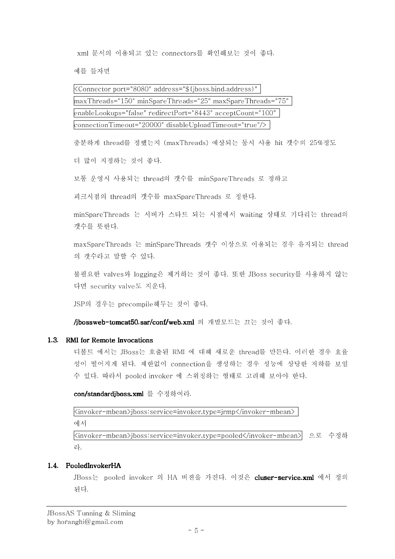xml 문서의 이용되고 있는 connectors를 확인해보는 것이 좋다.

예를 들자면

<Connector port="8080" address="\${jboss.bind.address}" maxThreads="150" minSpareThreads="25" maxSpareThreads="75" enableLookups="false" redirectPort="8443" acceptCount="100" connectionTimeout="20000" disableUploadTimeout="true"/>

충분하게 thread를 정했는지 (maxThreads) 예상되는 동시 사용 hit 갯수의 25%정도

더 많이 지정하는 것이 좋다.

보통 운영시 사용되는 thread의 갯수를 minSpareThreads 로 정하고

피크시점의 thread의 갯수를 maxSpareThreads 로 정한다.

minSpareThreads 는 서버가 스타트 되는 시점에서 waiting 상태로 기다리는 thread의 갯수를 뜻한다.

maxSpareThreads 는 minSpareThreads 갯수 이상으로 이용되는 경우 유지되는 thread 의 갯수라고 말할 수 있다.

불필요한 valves와 logging은 제거하는 것이 좋다. 또한 JBoss security를 사용하지 않는 다면 security valve도 지운다.

JSP의 경우는 precompile해두는 것이 좋다.

/jbossweb-tomcat50.sar/conf/web.xml 의 개발모드는 끄는 것이 좋다.

## 1.3. RMI for Remote Invocations

디볼트 에서는 JBoss는 호출된 RMI 에 대해 새로운 thread를 만든다. 이러한 경우 효율 성이 떨어지게 된다. 제한없이 connection을 생성하는 경우 성능에 상당한 저하를 보일 수 있다. 따라서 pooled invoker 에 스위칭하는 형태로 고려해 보아야 한다.

con/standardjboss.xml 를 수정하여라.

<invoker-mbean>jboss:service=invoker,type=jrmp</invoker-mbean>

에서

<invoker-mbean>jboss:service=invoker,type=pooled</invoker-mbean> 으로 수정하 라.

## 1.4. PooledInvokerHA

JBoss는 pooled invoker 의 HA 버젼을 가진다. 이것은 cluser-service.xml 에서 정의 된다.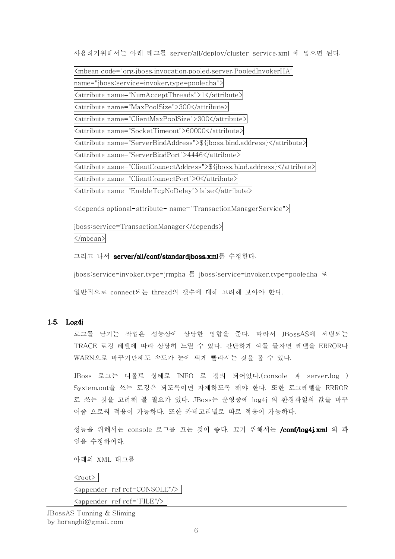사용하기위해서는 아래 태그를 server/all/deploy/cluster-service.xml 에 넣으면 된다.

<mbean code="org.jboss.invocation.pooled.server.PooledInvokerHA" name="jboss:service=invoker,type=pooledha"> <attribute name="NumAcceptThreads">1</attribute> <attribute name="MaxPoolSize">300</attribute> <attribute name="ClientMaxPoolSize">300</attribute> <attribute name="SocketTimeout">60000</attribute> <attribute name="ServerBindAddress">\${jboss.bind.address}</attribute> <attribute name="ServerBindPort">4446</attribute> <attribute name="ClientConnectAddress">\${jboss.bind.address}</attribute> <attribute name="ClientConnectPort">0</attribute> <attribute name="EnableTcpNoDelay">false</attribute>

<depends optional-attribute- name="TransactionManagerService">

jboss:service=TransactionManager</depends>

</mbean>

그리고 나서 server/all/conf/standardjboss.xml를 수정한다.

jboss:service=invoker,type=jrmpha 를 jboss:service=invoker,type=pooledha 로

일반적으로 connect되는 thread의 갯수에 대해 고려해 보아야 한다.

## 1.5. Log4j

로그를 남기는 작업은 성능상에 상당한 영향을 준다. 따라서 JBossAS에 세팅되는 TRACE 로깅 레벨에 따라 상당히 느릴 수 있다. 간단하게 예를 들자면 레벨을 ERROR나 WARN으로 바꾸기만해도 속도가 눈에 띄게 빨라시는 것을 볼 수 있다.

JBoss 로그는 디볼트 상태로 INFO 로 정의 되어있다.(console 과 server.log ) System.out을 쓰는 로깅은 되도록이면 자제하도록 해야 한다. 또한 로그레벨을 ERROR 로 쓰는 것을 고려해 볼 필요가 있다. JBoss는 운영중에 log4j 의 환경파일의 값을 바꾸 어줌 으로써 적용이 가능하다. 또한 카테고리별로 따로 적용이 가능하다.

성능을 위해서는 console 로그를 끄는 것이 좋다. 끄기 위해서는 **/conf/log4j.xml** 의 파 일을 수정하여라.

아래의 XML 태그를

| <root></root>                                 |  |
|-----------------------------------------------|--|
| <appender-ref ref='CONSOLE"/'></appender-ref> |  |
| <appender-ref ref="FILE"></appender-ref>      |  |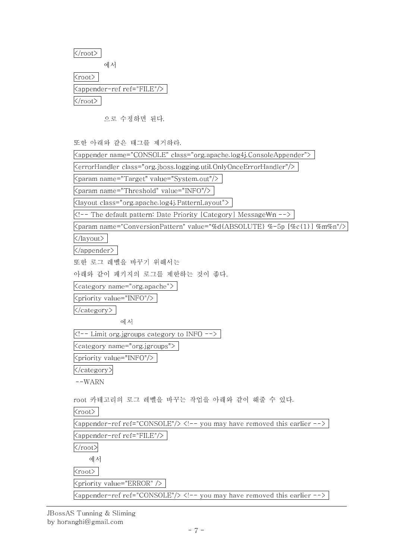$\langle /root \rangle$ 

에서

<root> <appender-ref ref="FILE"/>

 $\langle /root \rangle$ 

으로 수정하면 된다.

또한 아래와 같은 태그를 제거하라.

| 노안 악대와 설은 데그들 세기이다.                                                               |
|-----------------------------------------------------------------------------------|
| <appender class="org.apache.log4j.ConsoleAppender" name="CONSOLE"></appender>     |
| <errorhandler class="org.jboss.logging.util.OnlyOnceErrorHandler"></errorhandler> |
| <param name="Target" value="System.out"/>                                         |
| <param name="Threshold" value="INFO"/>                                            |
| <layout class="org.apache.log4j.PatternLayout"></layout>                          |
| The default pattern: Date Priority [Category] Message\n                           |
| <param name="ConversionPattern" value="%d{ABSOLUTE} %-5p [%c{1}] %m%n"/>          |
|                                                                                   |
|                                                                                   |
| 또한 로그 레벨을 바꾸기 위해서는                                                                |
| 아래와 같이 패키지의 로그를 제한하는 것이 좋다.                                                       |
| <category name="org.apache"></category>                                           |
| <priority value="INFO"></priority>                                                |
|                                                                                   |
| 에서                                                                                |
| Limit org.jgroups category to INFO                                                |
| <category name="org.jgroups"></category>                                          |
| <priority value="INFO"></priority>                                                |
|                                                                                   |
| $--WARN$                                                                          |
| root 카테고리의 로그 레벨을 바꾸는 작업을 아래와 같이 해줄 수 있다.                                         |
| $<$ root $>$                                                                      |
| $\langle$ appender-ref ref="CONSOLE"/> you may have removed this earlier          |
| <appender-ref ref="FILE"></appender-ref>                                          |
|                                                                                   |
| 에서                                                                                |
| $root$                                                                            |
| <priority value="ERROR"></priority>                                               |
| <appender-ref ref="CONSOLE"></appender-ref> you may have removed this earlier     |

JBossAS Tunning & Sliming by horanghi@gmail.com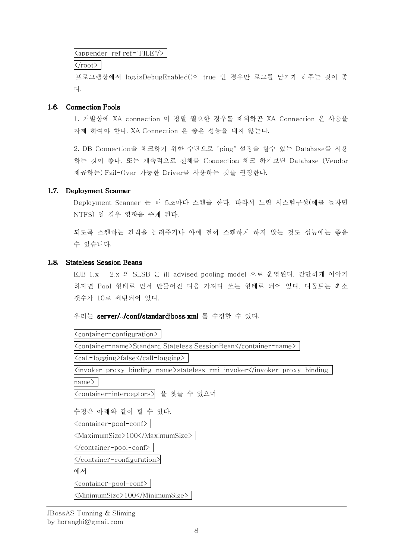## <appender-ref ref="FILE"/>

 $\langle$ root $\rangle$ 

프로그램상에서 log.isDebugEnabled()이 true 인 경우만 로그를 남기게 해주는 것이 좋 다.

## 1.6. Connection Pools

1. 개발상에 XA connection 이 정말 필요한 경우를 제외하곤 XA Connection 은 사용을 자제 하여야 한다. XA Connection 은 좋은 성능을 내지 않는다.

2. DB Connection을 체크하기 위한 수단으로 "ping" 설정을 할수 있는 Database를 사용 하는 것이 좋다. 또는 계속적으로 전체를 Connection 체크 하기보단 Database (Vendor 제공하는) Fail-Over 가능한 Driver를 사용하는 것을 권장한다.

## 1.7. Deployment Scanner

Deployment Scanner 는 매 5초마다 스캔을 한다. 따라서 느린 시스템구성(예를 들자면 NTFS) 일 경우 영향을 주게 된다.

되도록 스캔하는 간격을 늘려주거나 아예 전혀 스캔하게 하지 않는 것도 성능에는 좋을 수 있습니다.

## 1.8. Stateless Session Beans

EJB 1.x - 2.x 의 SLSB 는 ill-advised pooling model 으로 운영된다. 간단하게 이야기 하자면 Pool 형태로 먼저 만들어진 다음 가져다 쓰는 형태로 되어 있다. 디폴트는 최소 갯수가 10로 세팅되어 있다.

우리는 server/../conf/standardjboss.xml 를 수정할 수 있다.

<container-configuration> <container-name>Standard Stateless SessionBean</container-name> <call-logging>false</call-logging> <invoker-proxy-binding-name>stateless-rmi-invoker</invoker-proxy-bindingname> <container-interceptors> 을 찾을 수 있으며 수정은 아래와 같이 할 수 있다. <container-pool-conf> <MaximumSize>100</MaximumSize> </container-pool-conf> </container-configuration> 에서 <container-pool-conf> <MinimumSize>100</MinimumSize>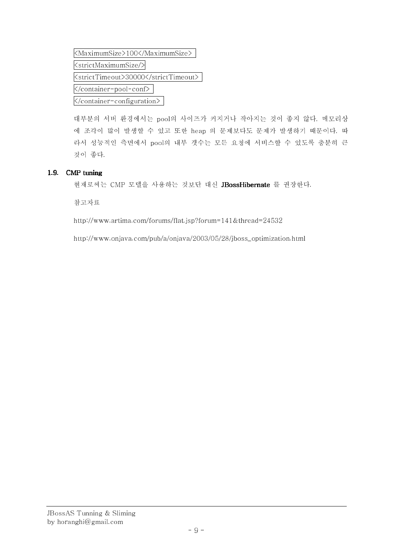<MaximumSize>100</MaximumSize> <strictMaximumSize/> <strictTimeout>30000</strictTimeout> </container-pool-conf> </container-configuration>

대부분의 서버 환경에서는 pool의 사이즈가 커지거나 작아지는 것이 좋지 않다. 메모리상 에 조각이 많이 발생할 수 있고 또한 heap 의 문제보다도 문제가 발생하기 때문이다. 따 라서 성능적인 측면에서 pool의 내부 갯수는 모든 요청에 서비스할 수 있도록 충분히 큰 것이 좋다.

## 1.9. CMP tuning

현재로써는 CMP 모델을 사용하는 것보단 대신 JBossHibernate 를 권장한다.

참고자료

http://www.artima.com/forums/flat.jsp?forum=141&thread=24532

http://www.onjava.com/pub/a/onjava/2003/05/28/jboss\_optimization.html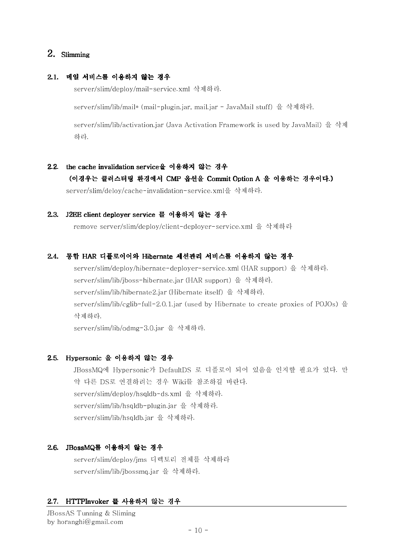## 2. Slimming

## 2.1. 메일 서비스를 이용하지 않는 경우

server/slim/deploy/mail-service.xml 삭제하라.

server/slim/lib/mail\* (mail-plugin.jar, mail.jar - JavaMail stuff) 을 삭제하라.

server/slim/lib/activation.jar (Java Activation Framework is used by JavaMail) 을 삭제 하라.

## 2.2. the cache invalidation service을 이용하지 않는 경우

## ( 이경우는 클러스터링환경에서 CMP 옵션을 옵션을 Commit Option A 을 Option A 을 이용하는 경우이다.)

server/slim/deloy/cache-invalidation-service.xml을 삭제하라.

#### 2.3. J2EE client deployer service 를 이용하지 않는 경우

remove server/slim/deploy/client-deployer-service.xml 을 삭제하라

#### 2.4. 통합 HAR 디플로이어와 Hibernate 세션관리 서비스를 이용하지 않는 경우

server/slim/deploy/hibernate-deployer-service.xml (HAR support) 을 삭제하라. server/slim/lib/jboss-hibernate.jar (HAR support) 을 삭제하라. server/slim/lib/hibernate2.jar (Hibernate itself) 을 삭제하라. server/slim/lib/cglib-full-2.0.1.jar (used by Hibernate to create proxies of POJOs) 을 삭제하라.

server/slim/lib/odmg-3.0.jar 을 삭제하라.

#### 2.5. Hypersonic 을 이용하지 않는 경우

JBossMQ에 Hypersonic가 DefaultDS 로 디플로이 되어 있음을 인지할 필요가 있다. 만 약 다른 DS로 연결하려는 경우 Wiki를 참조하길 바란다. server/slim/deploy/hsqldb-ds.xml 을 삭제하라. server/slim/lib/hsqldb-plugin.jar 을 삭제하라. server/slim/lib/hsqldb.jar 을 삭제하라.

## 2.6. JBossMQ를 이용하지 않는 경우

server/slim/deploy/jms 디렉토리 전체를 삭제하라 server/slim/lib/jbossmq.jar 을 삭제하라.

## 2.7. HTTPInvoker 를 사용하지 않는 경우

JBossAS Tunning & Sliming by horanghi@gmail.com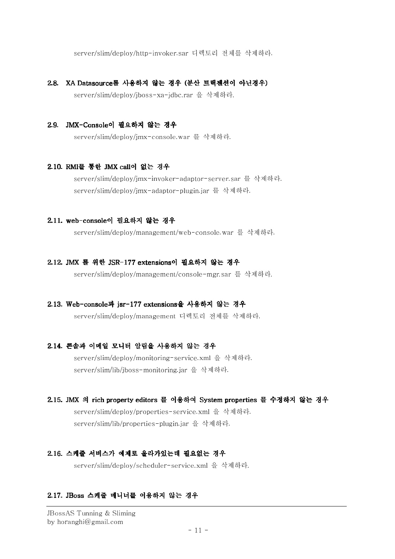server/slim/deploy/http-invoker.sar 디렉토리 전체를 삭제하라.

#### 2.8. XA Datasource를 사용하지 않는 경우 (분산 트랙젠션이 아닌경우)

server/slim/deploy/jboss-xa-jdbc.rar 을 삭제하라.

#### 2.9. JMX-Console이 필요하지 않는 경우

server/slim/deploy/jmx-console.war 를 삭제하라.

#### 2.10. RMI를 통한 JMX call이 없는 경우

server/slim/deploy/jmx-invoker-adaptor-server.sar 를 삭제하라. server/slim/deploy/jmx-adaptor-plugin.jar 를 삭제하라.

#### 2.11. web-console이 필요하지 않는 경우

server/slim/deploy/management/web-console.war 를 삭제하라.

#### 2.12. JMX 를 위한 JSR-177 extensions이 필요하지 않는 경우

server/slim/deploy/management/console-mgr.sar 를 삭제하라.

#### 2.13. Web-console과 jsr-177 extensions을 사용하지 않는 경우

server/slim/deploy/management 디렉토리 전체를 삭제하라.

#### 2.14. 콘솔과 이메일 모니터 알림을 사용하지 않는 경우

server/slim/deploy/monitoring-service.xml 을 삭제하라. server/slim/lib/jboss-monitoring.jar 을 삭제하라.

## 2.15. JMX 의 rich property editors 를 이용하여 System properties 를 수정하지 않는 경우 server/slim/deploy/properties-service.xml 을 삭제하라. server/slim/lib/properties-plugin.jar 을 삭제하라.

#### 2.16. 스케줄 서비스가 예제로올라가있는데 필요없는 경우

server/slim/deploy/scheduler-service.xml 을 삭제하라.

#### 2.17. JBoss 스케줄 매니너를 이용하지 않는 경우

JBossAS Tunning & Sliming by horanghi@gmail.com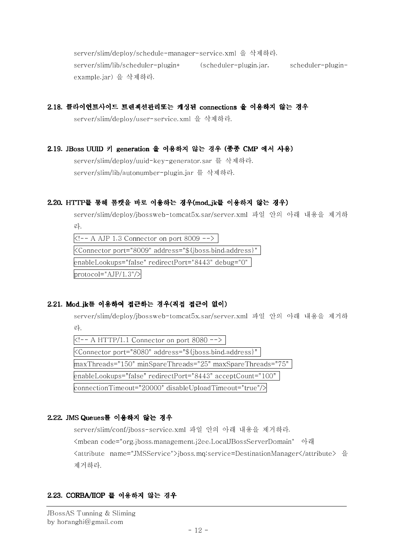server/slim/deploy/schedule-manager-service.xml 을 삭제하라. server/slim/lib/scheduler-plugin\* (scheduler-plugin.jar, scheduler-pluginexample.jar) 을 삭제하라.

## 2.18. 클라이언트사이드 트렌젝션관리또는 캐싱된 connections 을 이용하지 않는 경우

server/slim/deploy/user-service.xml 을 삭제하라.

## 2.19. JBoss UUID 키 generation 을 이용하지 않는 경우 (종종 CMP 에서 사용)

server/slim/deploy/uuid-key-generator.sar 를 삭제하라. server/slim/lib/autonumber-plugin.jar 를 삭제하라.

## 2.20. HTTP를 통해 톰캣을 바로 이용하는 경우(mod jk를 이용하지 않는 경우)

server/slim/deploy/jbossweb-tomcat5x.sar/server.xml 파일 안의 아래 내용을 제거하 라.

 $K!$  -- A AJP 1.3 Connector on port 8009 --> <Connector port="8009" address="\${jboss.bind.address}" enableLookups="false" redirectPort="8443" debug="0"  $proto$ col="AJP/1.3"/>

## 2.21. Mod\_jk를 이용하여 접근하는 경우(직접 접근이 없이)

server/slim/deploy/jbossweb-tomcat5x.sar/server.xml 파일 안의 아래 내용을 제거하 라.

 $K!$  -- A HTTP/1.1 Connector on port 8080 --> <Connector port="8080" address="\${jboss.bind.address}" maxThreads="150" minSpareThreads="25" maxSpareThreads="75" enableLookups="false" redirectPort="8443" acceptCount="100" connectionTimeout="20000" disableUploadTimeout="true"/>

## 2.22. JMS Queues를 이용하지 않는 경우

server/slim/conf/jboss-service.xml 파일 안의 아래 내용을 제거하라.

<mbean code="org.jboss.management.j2ee.LocalJBossServerDomain" 아래 <attribute name="JMSService">jboss.mq:service=DestinationManager</attribute> 을 제거하라.

## 2.23. CORBA/IIOP 를 이용하지 않는 경우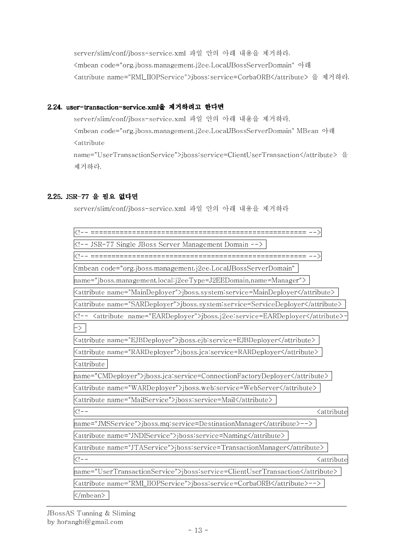server/slim/conf/jboss-service.xml 파일 안의 아래 내용을 제거하라. <mbean code="org.jboss.management.j2ee.LocalJBossServerDomain" 아래 <attribute name="RMI\_IIOPService">jboss:service=CorbaORB</attribute> 을 제거하라.

## 2.24. user-transaction-service.xml을 제거하려고 한다면

server/slim/conf/jboss-service.xml 파일 안의 아래 내용을 제거하라. <mbean code="org.jboss.management.j2ee.LocalJBossServerDomain" MBean 아래 <attribute name="UserTransactionService">jboss:service=ClientUserTransaction</attribute> 을 제거하라.

## 2.25. JSR-77 을 필요 없다면

server/slim/conf/jboss-service.xml 파일 안의 아래 내용을 제거하라

| JSR-77 Single JBoss Server Management Domain                                                                                                                                                                                                                                                                                                                                                                                                                                                                                                                                                                                                                                                                                                                                                                                                                                                                                                                                                                                                                                                                                                                                                      |
|---------------------------------------------------------------------------------------------------------------------------------------------------------------------------------------------------------------------------------------------------------------------------------------------------------------------------------------------------------------------------------------------------------------------------------------------------------------------------------------------------------------------------------------------------------------------------------------------------------------------------------------------------------------------------------------------------------------------------------------------------------------------------------------------------------------------------------------------------------------------------------------------------------------------------------------------------------------------------------------------------------------------------------------------------------------------------------------------------------------------------------------------------------------------------------------------------|
| =============================== --> <br>  ===================</td></tr><tr><td><mbean code="org.jboss.management.j2ee.LocalJBossServerDomain"</td></tr><tr><td> name="jboss.management.local:j2eeType=J2EEDomain,name=Manager"></td></tr><tr><td><attribute name="MainDeployer">jboss.system:service=MainDeployer</attribute></td></tr><tr><td><attribute name="SARDeployer">jboss.system:service=ServiceDeployer</attribute></td></tr><tr><td><!-- <attribute name="EARDeployer">jboss.j2ee:service=EARDeployer</attribute></td></tr><tr><td><math>\vert - \rangle</math></td></tr><tr><td><attribute name="EJBDeployer">jboss.ejb:service=EJBDeployer</attribute></td></tr><tr><td><attribute name="RARDeployer">jboss.jca:service=RARDeployer</attribute></td></tr><tr><td><attribute</td></tr><tr><td> name="CMDeployer">jboss.jca:service=ConnectionFactoryDeployer</attribute></td></tr><tr><td><attribute name="WARDeployer">jboss.web:service=WebServer</attribute></td></tr><tr><td><attribute name="MailService">jboss:service=Mail</attribute></td></tr><tr><td><math>\lt!</math>!--<br><attribute</td></tr><tr><td> name="JMSService">jboss.mq:service=DestinationManager</attribute> |
| <attribute name="JNDIService">jboss:service=Naming</attribute>                                                                                                                                                                                                                                                                                                                                                                                                                                                                                                                                                                                                                                                                                                                                                                                                                                                                                                                                                                                                                                                                                                                                    |
| <attribute name="JTAService">jboss:service=TransactionManager</attribute>                                                                                                                                                                                                                                                                                                                                                                                                                                                                                                                                                                                                                                                                                                                                                                                                                                                                                                                                                                                                                                                                                                                         |
| $\langle  -$<br><attribute< td=""></attribute<>                                                                                                                                                                                                                                                                                                                                                                                                                                                                                                                                                                                                                                                                                                                                                                                                                                                                                                                                                                                                                                                                                                                                                   |
| name="UserTransactionService">jboss:service=ClientUserTransaction                                                                                                                                                                                                                                                                                                                                                                                                                                                                                                                                                                                                                                                                                                                                                                                                                                                                                                                                                                                                                                                                                                                                 |
| <attribute name="RMI_IIOPService">jboss:service=CorbaORB</attribute> -->                                                                                                                                                                                                                                                                                                                                                                                                                                                                                                                                                                                                                                                                                                                                                                                                                                                                                                                                                                                                                                                                                                                          |
|                                                                                                                                                                                                                                                                                                                                                                                                                                                                                                                                                                                                                                                                                                                                                                                                                                                                                                                                                                                                                                                                                                                                                                                                   |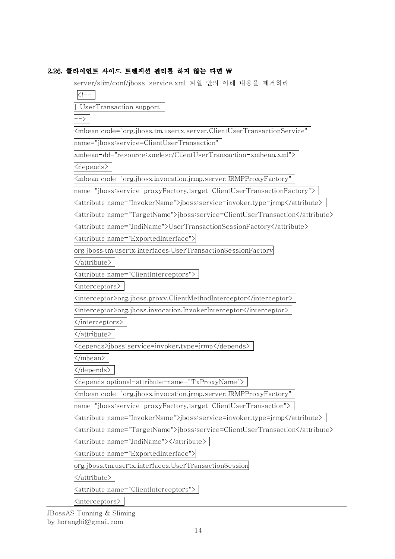## 2.26. 클라이언트 사이드 트렌젝션 관리를 하지 않는 다면 \

server/slim/conf/jboss-service.xml 파일 안의 아래 내용을 제거하라

 $\lt$ ! $-$ 

| UserTransaction support.

-->

<mbean code="org.jboss.tm.usertx.server.ClientUserTransactionService"

name="jboss:service=ClientUserTransaction"

xmbean-dd="resource:xmdesc/ClientUserTransaction-xmbean.xml">

<depends>

<mbean code="org.jboss.invocation.jrmp.server.JRMPProxyFactory"

name="jboss:service=proxyFactory,target=ClientUserTransactionFactory">

<attribute name="InvokerName">jboss:service=invoker,type=jrmp</attribute>

<attribute name="TargetName">jboss:service=ClientUserTransaction</attribute>

<attribute name="JndiName">UserTransactionSessionFactory</attribute>

<attribute name="ExportedInterface">

org.jboss.tm.usertx.interfaces.UserTransactionSessionFactory

</attribute>

<attribute name="ClientInterceptors">

<interceptors>

<interceptor>org.jboss.proxy.ClientMethodInterceptor</interceptor>

<interceptor>org.jboss.invocation.InvokerInterceptor</interceptor>

</interceptors>

</attribute>

<depends>jboss:service=invoker,type=jrmp</depends>

</mbean>

</depends>

<depends optional-attribute-name="TxProxyName">

<mbean code="org.jboss.invocation.jrmp.server.JRMPProxyFactory"

name="jboss:service=proxyFactory,target=ClientUserTransaction">

<attribute name="InvokerName">jboss:service=invoker,type=jrmp</attribute>

<attribute name="TargetName">jboss:service=ClientUserTransaction</attribute>

<attribute name="JndiName"></attribute>

<attribute name="ExportedInterface">

org.jboss.tm.usertx.interfaces.UserTransactionSession

</attribute>

<attribute name="ClientInterceptors">

<interceptors>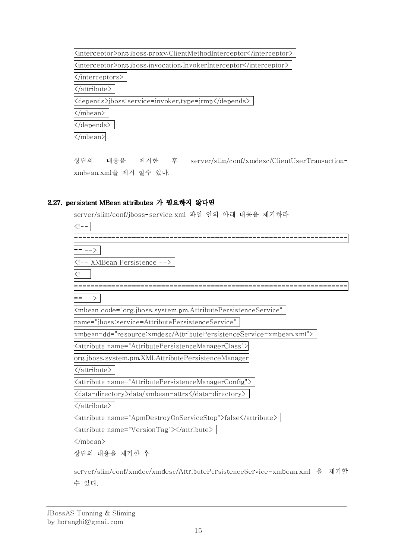| <interceptor>org.jboss.proxy.ClientMethodInterceptor</interceptor> |
|--------------------------------------------------------------------|
| Kinterceptor>org.jboss.invocation.InvokerInterceptor               |
| $\le$ /interceptors $>$                                            |
| $\langle$ /attribute>                                              |
| Kdepends>jboss service=invoker,type=jrmp                           |
| /mbean>                                                            |
| 'depends>                                                          |
| mbean>                                                             |

상단의 내용을 제거한 후 server/slim/conf/xmdesc/ClientUserTransactionxmbean.xml을 제거 할수 있다.

## 2.27. persistent MBean attributes 가 필요하지 않다면

server/slim/conf/jboss-service.xml 파일 안의 아래 내용을 제거하라

| == -->                                                                            |
|-----------------------------------------------------------------------------------|
| XMBean Persistence                                                                |
|                                                                                   |
|                                                                                   |
| $==-->$                                                                           |
| <mbean <="" code="org.jboss.system.pm.AttributePersistenceService" td=""></mbean> |
| name="jboss:service=AttributePersistenceService"                                  |
| xmbean-dd="resource:xmdesc/AttributePersistenceService-xmbean.xml">               |
| <attribute name="AttributePersistenceManagerClass"></attribute>                   |
| org.jboss.system.pm.XMLAttributePersistenceManager                                |
|                                                                                   |
| <attribute name="AttributePersistenceManagerConfig"></attribute>                  |
| <data-directory>data/xmbean-attrs</data-directory>                                |
|                                                                                   |
| <attribute name="ApmDestroyOnServiceStop">false</attribute>                       |
| <attribute name="VersionTag"></attribute>                                         |
|                                                                                   |
| 상단의 내용을 제거한 후                                                                     |

server/slim/conf/xmdec/xmdesc/AttributePersistenceService-xmbean.xml 을 제거할 수 있다.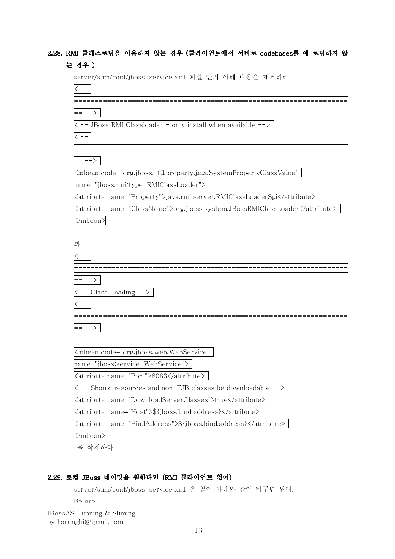## 2.28. RMI 클래스로딩을 이용하지 않는 경우 (클라이언트에서 서버로 codebases를 에 로딩하지 않 는 경우 )

server/slim/conf/jboss-service.xml 파일 안의 아래 내용을 제거하라

| = -->                                                                                  |
|----------------------------------------------------------------------------------------|
| -- JBoss RMI Classloader - only install when available -->                             |
| $\overline{\phantom{a}}$                                                               |
|                                                                                        |
| == -->                                                                                 |
| <mbean <="" code="org.jboss.util.property.jmx.SystemPropertyClassValue" td=""></mbean> |
| name="jboss.rmi:type=RMIClassLoader">                                                  |
| <attribute name="Property">java.rmi.server.RMIClassLoaderSpi</attribute>               |
| <attribute name="ClassName">org.jboss.system.JBossRMIClassLoader</attribute>           |
|                                                                                        |
|                                                                                        |
| 과                                                                                      |
|                                                                                        |
| ========                                                                               |
| $==-->$                                                                                |
| $\left  \left\langle \cdot \right  \right $ - - Class Loading -->                      |
| $\left  - - \right $                                                                   |
|                                                                                        |
|                                                                                        |
|                                                                                        |
| <mbean <="" code="org.jboss.web.WebService" td=""></mbean>                             |
| name="jboss:service=WebService">                                                       |
| <attribute name="Port">8083</attribute>                                                |
| Should resources and non-EJB classes be downloadable                                   |
| <attribute name="DownloadServerClasses">true</attribute>                               |
| <attribute name="Host">\${jboss.bind.address}</attribute>                              |

<attribute name="BindAddress">\${jboss.bind.address}</attribute>

</mbean>

을 삭제하라.

## 2.29. 로컬 JBoss 네이밍을 원한다면 (RMI 클라이언트 없이)

server/slim/conf/jboss-service.xml 을 열어 아래와 같이 바꾸면 된다.

Before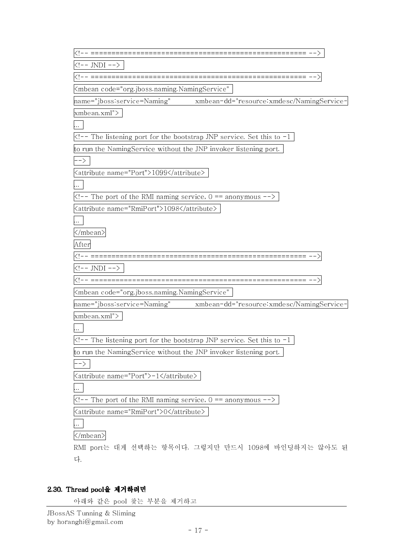| ================================ -->                                                                                                                                                                                                                                                                                                                 |
|------------------------------------------------------------------------------------------------------------------------------------------------------------------------------------------------------------------------------------------------------------------------------------------------------------------------------------------------------|
| $---JNDI---$                                                                                                                                                                                                                                                                                                                                         |
|                                                                                                                                                                                                                                                                                                                                                      |
| <mbean <="" code="org.jboss.naming.NamingService" td=""></mbean>                                                                                                                                                                                                                                                                                     |
| name="jboss:service=Naming" xmbean-dd="resource:xmdesc/NamingService-                                                                                                                                                                                                                                                                                |
| xmbean.xml">                                                                                                                                                                                                                                                                                                                                         |
|                                                                                                                                                                                                                                                                                                                                                      |
| $\overline{<}$ -- The listening port for the bootstrap JNP service. Set this to -1                                                                                                                                                                                                                                                                   |
| to run the NamingService without the JNP invoker listening port.                                                                                                                                                                                                                                                                                     |
| $\rightarrow$ $\rightarrow$                                                                                                                                                                                                                                                                                                                          |
| <attribute name="Port">1099</attribute>                                                                                                                                                                                                                                                                                                              |
|                                                                                                                                                                                                                                                                                                                                                      |
| $\leq$ -- The port of the RMI naming service, $0 ==$ anonymous -->                                                                                                                                                                                                                                                                                   |
| <attribute_name="rmiport">1098</attribute_name="rmiport">                                                                                                                                                                                                                                                                                            |
|                                                                                                                                                                                                                                                                                                                                                      |
|                                                                                                                                                                                                                                                                                                                                                      |
| After                                                                                                                                                                                                                                                                                                                                                |
|                                                                                                                                                                                                                                                                                                                                                      |
| JNDI                                                                                                                                                                                                                                                                                                                                                 |
| --------------------------------                                                                                                                                                                                                                                                                                                                     |
| <mbean <="" code="org.jboss.naming.NamingService" td=""></mbean>                                                                                                                                                                                                                                                                                     |
|                                                                                                                                                                                                                                                                                                                                                      |
| xmbean.xml">                                                                                                                                                                                                                                                                                                                                         |
|                                                                                                                                                                                                                                                                                                                                                      |
| The listening port for the bootstrap JNP service. Set this to -1</td></tr><tr><td>o run the NamingService without the JNP invoker listening port.</td></tr><tr><td>-></td></tr><tr><td><attribute name="Port">-1</attribute></td></tr><tr><td></td></tr><tr><td><math>\leq</math> -- The port of the RMI naming service, <math>0 ==</math> anonymous |
| <attribute name="RmiPort">0</attribute>                                                                                                                                                                                                                                                                                                              |
|                                                                                                                                                                                                                                                                                                                                                      |
|                                                                                                                                                                                                                                                                                                                                                      |
| RMI port는 대게 선택하는 항목이다. 그렇지만 만드시 1098에 바인딩하지는 않아도 된                                                                                                                                                                                                                                                                                                  |
| 다.                                                                                                                                                                                                                                                                                                                                                   |
|                                                                                                                                                                                                                                                                                                                                                      |

## 2.30. Thread pool을 제거하려면

아래와 같은 pool 찾는 부분을 제거하고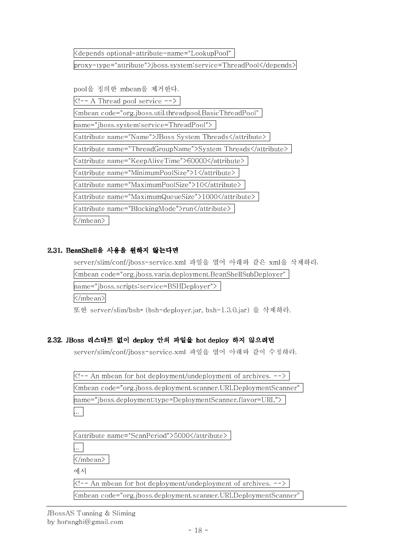<depends optional-attribute-name="LookupPool"

proxy-type="attribute">jboss.system:service=ThreadPool</depends>

pool을 정의한 mbean을 제거한다.

 $\langle -4 \rangle$  Thread pool service  $\langle -2 \rangle$ 

<mbean code="org.jboss.util.threadpool.BasicThreadPool" name="jboss.system:service=ThreadPool"> <attribute name="Name">JBoss System Threads</attribute> <attribute name="ThreadGroupName">System Threads</attribute> <attribute name="KeepAliveTime">60000</attribute> <attribute name="MinimumPoolSize">1</attribute> <attribute name="MaximumPoolSize">10</attribute> <attribute name="MaximumQueueSize">1000</attribute> <attribute name="BlockingMode">run</attribute> </mbean>

## 2.31. BeanShell을 사용을 원하지 않는다면

server/slim/conf/jboss-service.xml 파일을 열어 아래와 같은 xml을 삭제하라.

 $<$ mbean code="org.jboss.varia.deployment.BeanShellSubDeployer"  $\,$ 

name="jboss.scripts:service=BSHDeployer">

</mbean>

또한 server/slim/bsh\* (bsh-deployer.jar, bsh-1.3.0.jar) 을 삭제하라.

## 2.32. JBoss 리스타트 없이 deploy 안의 파일을 hot deploy 하지 않으려면

server/slim/conf/jboss-service.xml 파일을 열어 아래와 같이 수정하라.

| $\vert$ An mbean for hot deployment/undeployment of archives. $\vert$            |
|----------------------------------------------------------------------------------|
| Kmbean code="org.jboss.deployment.scanner.URLDeploymentScanner"                  |
| $[name="ghost:depth]$ mame="jboss.deployment:type=DeploymentScanner,flavor=URL"> |
|                                                                                  |

| Kattribute name="ScanPeriod">5000                                                    |
|--------------------------------------------------------------------------------------|
|                                                                                      |
|                                                                                      |
| 에서                                                                                   |
| $\vert$ An mbean for hot deployment/undeployment of archives.                        |
| <mbean code="org.jboss.deployment.scanner.URLDeploymentScanner" td=""  <=""></mbean> |
|                                                                                      |